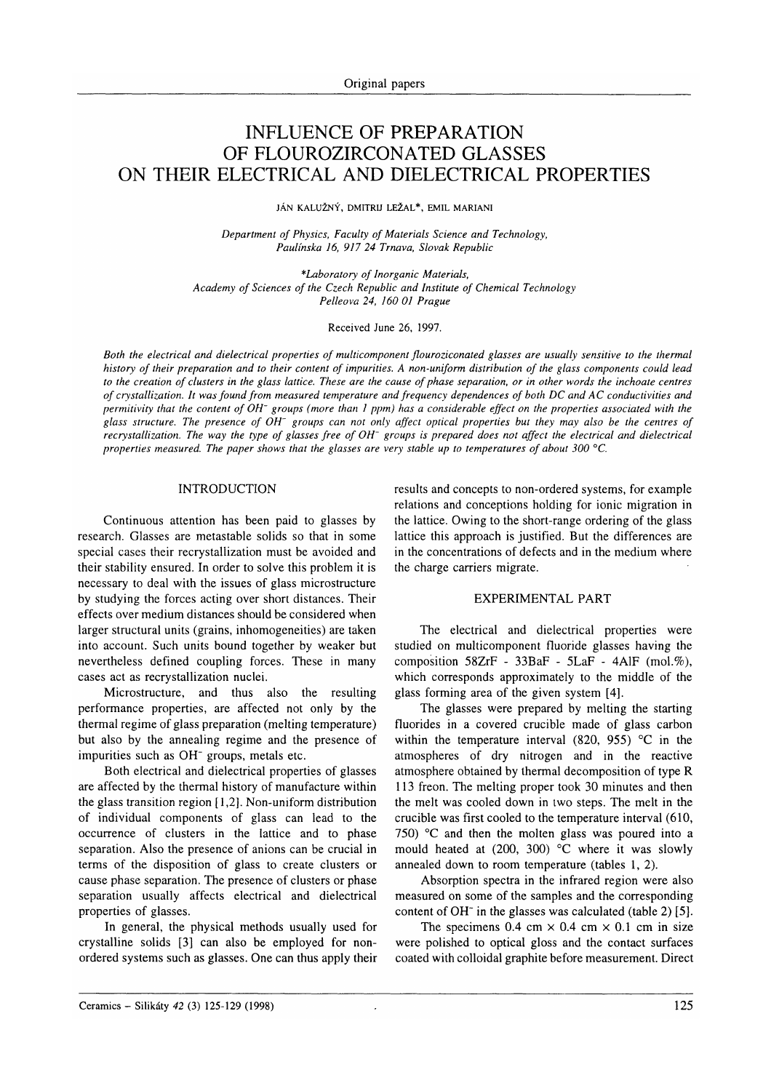# INFLUENCE OF PREPARATION OF FLOUROZIRCONATED GLASSES ON THEIR ELECTRICAL AND DIELECTRICAL PROPERTIES

JÁN KALUŽNÝ, DMITRIJ LEŽAL\*, EMIL MARIANI

Department of Physics, Faculty of Materials Science and Technology, Paulínska 16, 917 24 Trnava, Slovak Republic

\*Laboratory of Inorganic Materials, Academy of Sciences of the Czech Republic and Institute of Chemical Technology Pelleova 24, 160 01 Prague

Received June 26, 1997.

Both the electrical and dielectrical properties of multicomponent flouroziconated glasses are usually sensitive to the thermal history of their preparation and to their content of impurities. A non-uniform distribution of the glass components could lead to the creation of clusters in the glass lattice. These are the cause of phase separation, or in other words the inchoate centres of crystallization. It was found from measured temperature and frequency dependences of both DC and AC conductivities and permitivity that the content of OH- groups (more than I ppm) has a considerable effect on the properties associated with the glass structure. The presence of OH<sup>-</sup> groups can not only affect optical properties but they may also be the centres of recrystallization. The way the type of glasses free of OH<sup>-</sup> groups is prepared does not affect the electrical and dielectrical properties measured. The paper shows that the glasses are very stable up to temperatures of about 300 °C.

# INTRODUCTION

Continuous attention has been paid to glasses by research. Glasses are metastable solids so that in some special cases their recrystallization must be avoided and their stability ensured. In order to solve this problem it is necessary to deal with the issues of glass microstructure by studying the forces acting over short distances. Their effects over medium distances should be considered when larger structural units (grains, inhomogeneities) are taken into account. Such units bound together by weaker but nevertheless defined coupling forces. These in many cases act as recrystallization nuclei.

Microstructure, and thus also the resulting performance properties, are affected not only by the thermal regime of glass preparation (melting temperature) but also by the annealing regime and the presence of impurities such as OH<sup>-</sup> groups, metals etc.

Both electrical and dielectrical properties of glasses are affected by the thermal history of manufacture within the glass transition region  $[1,2]$ . Non-uniform distribution of individual components of glass can lead to the occurrence of clusters in the lattice and to phase separation. Also the presence of anions can be crucial in terms of the disposition of glass to create clusters or cause phase separation. The presence of clusters or phase separation usually affects electrical and dielectrical properties of glasses.

In general, the physical methods usually used for crystalline solids [3] can also be employed for nonordered systems such as glasses. One can thus apply their results and concepts to non-ordered systems, for example relations and conceptions holding for ionic migration in the lattice. Owing to the short-range ordering of the glass lattice this approach is justified. But the differences are in the concentrations of defects and in the medium where the charge carriers migrate.

## EXPERIMENTAL PART

The electrical and dielectrical properties were studied on multicomponent fluoride glasses having the composition  $58ZrF - 33BaF - 5LaF - 4AlF$  (mol.%), which corresponds approximately to the middle of the glass forming area of the given system [4].

The glasses were prepared by melting the starting fluorides in a covered crucible made of glass carbon within the temperature interval (820, 955)  $\degree$ C in the atmospheres of dry nitrogen and in the reactive atmosphere obtained by thermal decomposition of type R <sup>1</sup>13 freon. The melting proper took 30 minutes and then the melt was cooled down in two steps. The melt in the crucible was first cooled to the temperature interval (610, 750)  $\degree$ C and then the molten glass was poured into a mould heated at  $(200, 300)$  °C where it was slowly annealed down to room temperature (tables I,2).

Absorption spectra in the infrared region were also measured on some of the samples and the corresponding content of OH $\overline{\phantom{a}}$  in the glasses was calculated (table 2) [5].

The specimens 0.4 cm  $\times$  0.4 cm  $\times$  0.1 cm in size were polished to optical gloss and the contact surfaces coated with colloidal graphite before measurement. Direct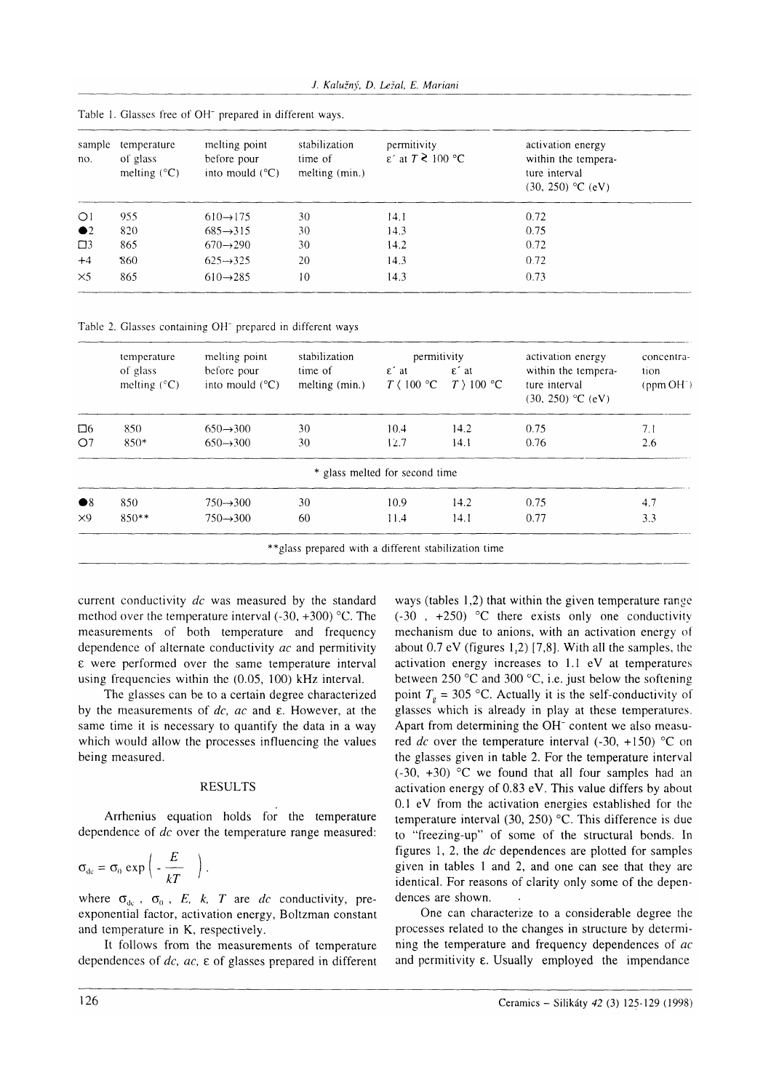| sample<br>no. | temperature<br>of glass<br>melting $(^{\circ}C)$ | melting point<br>before pour<br>into mould $(^{\circ}C)$ | stabilization<br>time of<br>melting (min.) | permitivity<br>$\epsilon'$ at $T \gtrless 100$ °C | activation energy<br>within the tempera-<br>ture interval<br>$(30, 250)$ °C (eV) |
|---------------|--------------------------------------------------|----------------------------------------------------------|--------------------------------------------|---------------------------------------------------|----------------------------------------------------------------------------------|
| $\bigcirc$    | 955                                              | $610 \rightarrow 175$                                    | 30                                         | 14.1                                              | 0.72                                                                             |
| $\bullet$ 2   | 820                                              | $685 \rightarrow 315$                                    | 30                                         | 14.3                                              | 0.75                                                                             |
| $\square$     | 865                                              | $670 \rightarrow 290$                                    | 30                                         | 14.2                                              | 0.72                                                                             |
| $+4$          | 860                                              | $625 \rightarrow 325$                                    | 20                                         | 14.3                                              | 0.72                                                                             |
| $\times$ 5    | 865                                              | $610 \rightarrow 285$                                    | 10                                         | 14.3                                              | 0.73                                                                             |
|               |                                                  |                                                          |                                            |                                                   |                                                                                  |

Table 1. Glasses free of OH<sup>-</sup> prepared in different ways.

Table 2. Glasses containing OH<sup>-</sup> prepared in different ways

|                        | temperature<br>of glass<br>melting $(^{\circ}C)$ | melting point<br>before pour<br>into mould $(^{\circ}C)$ | stabilization<br>time of<br>melting (min.) | permitivity                                                           |                               | activation energy                                           | concentra-                        |
|------------------------|--------------------------------------------------|----------------------------------------------------------|--------------------------------------------|-----------------------------------------------------------------------|-------------------------------|-------------------------------------------------------------|-----------------------------------|
|                        |                                                  |                                                          |                                            | $\epsilon$ at<br>$T \, \langle \, 100 \, \, \mathrm{^{\circ}C} \, \,$ | $\epsilon$ at<br>$T$ ) 100 °C | within the tempera-<br>ture interval<br>$(30, 250)$ °C (eV) | tion<br>$ppm$ OH <sup>-</sup> $)$ |
| 口6                     | 850                                              | $650 \rightarrow 300$                                    | 30                                         | 10.4                                                                  | 14.2                          | 0.75                                                        | 7.1                               |
| O7                     | $850*$                                           | $650 \rightarrow 300$                                    | 30                                         | 12.7                                                                  | 14.1                          | 0.76                                                        | 2.6                               |
|                        |                                                  |                                                          |                                            | * glass melted for second time                                        |                               |                                                             |                                   |
| $\bullet$ <sup>8</sup> | 850                                              | $750 \rightarrow 300$                                    | 30                                         | 10.9                                                                  | 14.2                          | 0.75                                                        | 4.7                               |
| X9                     | $850**$                                          | $750 \rightarrow 300$                                    | 60                                         | 11.4                                                                  | 14.1                          | 0.77                                                        | 3.3                               |

current conductivity  $dc$  was measured by the standard method over the temperature interval  $(-30, +300)$  °C. The measurements of both temperature and frequency dependence of alternate conductivity ac and permitivity  $\epsilon$  were performed over the same temperature interval using frequencies within the (0.05, 100) kHz interval.

The glasses can be to a certain degree characterized by the measurements of  $dc$ ,  $ac$  and  $\varepsilon$ . However, at the same time it is necessary to quantify the data in a way which would allow the processes influencing the values being measured.

# **RESULTS**

Arrhenius equation holds for the temperature dependence of dc over the temperature range measured:

$$
\sigma_{\rm dc} = \sigma_0 \exp\left(-\frac{E}{kT}\right).
$$

where  $\sigma_{dc}$ ,  $\sigma_0$ , E, k, T are dc conductivity, preexponential factor, activation energy, Boltzman constant and temperature in K, respectively.

It follows from the measurements of temperature dependences of  $dc$ ,  $ac$ ,  $\varepsilon$  of glasses prepared in different

ways (tables 1,2) that within the given temperature range  $(-30, +250)$  °C there exists only one conductivity mechanism due to anions, with an activation energy of about  $0.7$  eV (figures 1,2) [7,8]. With all the samples, the activation energy increases to 1.1 eV at temperatures between  $250$  °C and  $300$  °C, i.e. just below the softening point  $T<sub>g</sub> = 305$  °C. Actually it is the self-conductivity of glasses which is already in play at these temperatures. Apart from determining the OH<sup>-</sup> content we also measured dc over the temperature interval  $(-30, +150)$  °C on the glasses given in table 2. For the temperature interval  $(-30, +30)$  °C we found that all four samples had an activation energy of 0.83 eV. This value differs by about 0.1 eV from the activation energies established for the temperature interval (30, 250)  $\degree$ C. This difference is due to "freezing-up" of some of the structural bonds. In figures 1, 2, the  $dc$  dependences are plotted for samples given in tables 1 and 2, and one can see that they are identical. For reasons of clarity only some of the dependences are shown.

One can characterize to a considerable degree the processes related to the changes in structure by determining the temperature and frequency dependences of ac and permitivity  $\varepsilon$ . Usually employed the impendance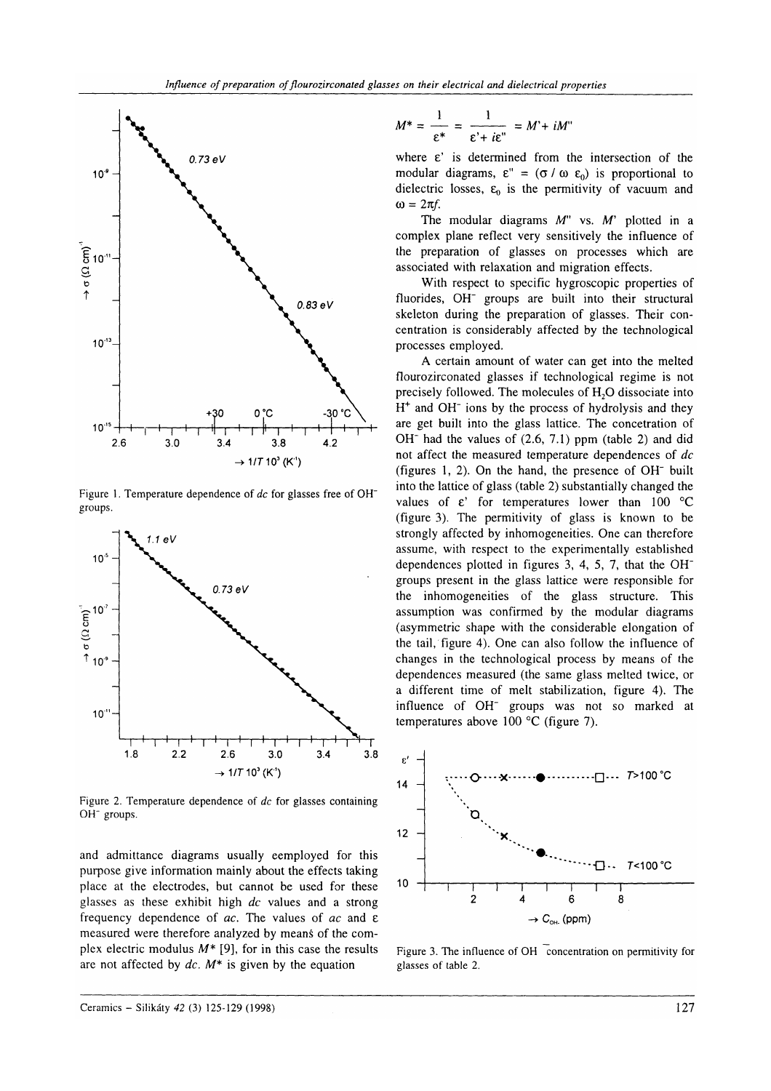

Figure 1. Temperature dependence of dc for glasses free of OH<sup>-</sup> groups.



Figure 2. Temperature dependence of  $dc$  for glasses containing OH<sup>-</sup> groups.

and admittance diagrams usually eemployed for this purpose give information mainly about the effects taking place at the electrodes, but cannot be used for these glasses as these exhibit high  $dc$  values and a strong frequency dependence of  $ac$ . The values of  $ac$  and  $\varepsilon$ measured were therefore analyzed by means of the complex electric modulus  $M^*$  [9], for in this case the results are not affected by  $dc$ .  $M^*$  is given by the equation

$$
M^* = \frac{1}{\varepsilon^*} = \frac{1}{\varepsilon^* + i\varepsilon^*} = M^* + iM^*
$$

where  $\varepsilon$ ' is determined from the intersection of the modular diagrams,  $\varepsilon'' = (\sigma / \omega \varepsilon_0)$  is proportional to dielectric losses,  $\varepsilon_0$  is the permitivity of vacuum and  $\omega = 2\pi f$ .

The modular diagrams  $M''$  vs.  $M'$  plotted in a complex plane reflect very sensitively the influence of the preparation of glasses on processes which are associated with relaxation and migration effects.

With respect to specific hygroscopic properties of fluorides, OH<sup>-</sup> groups are built into their structural skeleton during the preparation of glasses. Their concentration is considerably affected by the technological processes employed.

A certain amount of water can get into the melted flourozirconated glasses if technological regime is not precisely followed. The molecules of H<sub>2</sub>O dissociate into  $H<sup>+</sup>$  and OH<sup>-</sup> ions by the process of hydrolysis and they are get built into the glass lattice. The concetration of  $OH^-$  had the values of  $(2.6, 7.1)$  ppm (table 2) and did not affect the measured temperature dependences of dc (figures 1, 2). On the hand, the presence of  $OH^-$  built into the lattice of glass (table 2) substantially changed the values of  $\varepsilon$ ' for temperatures lower than 100 °C (figure 3). The permitivity of glass is known to be strongly affected by inhomogeneities. One can therefore assume, with respect to the experimentally established dependences plotted in figures 3, 4, 5,7, that the OHgroups present in the glass lattice were responsible for the inhomogeneities of the glass structure. This assumption was confirmed by the modular diagrams (asymmetric shape with the considerable elongation of the tail,'figure 4). One can also follow the influence of changes in the technological process by means of the dependences measured (the same glass melted twice, or a different time of melt stabilization, figure 4). The influence of OH<sup>-</sup> groups was not so marked at temperatures above 100 "C (figure 7).



Figure 3. The influence of OH concentration on permitivity for glasses of table 2.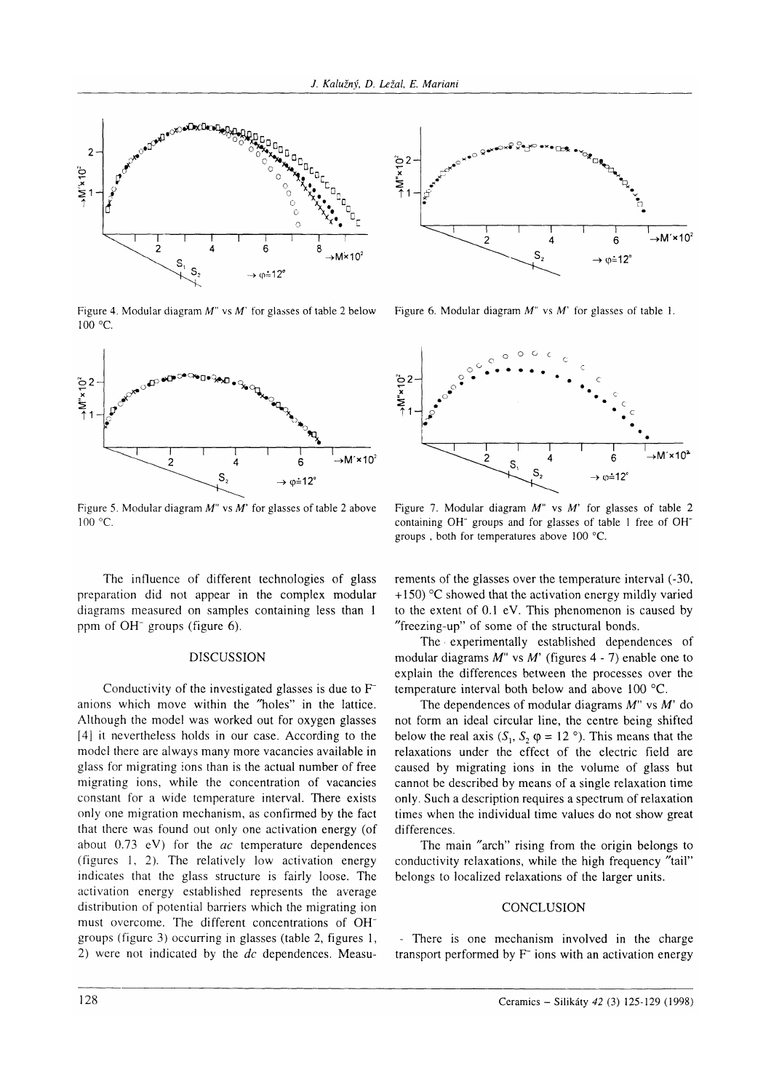

Figure 4. Modular diagram  $M''$  vs  $M'$  for glasses of table 2 below  $100 °C$ 





Figure 6. Modular diagram  $M''$  vs  $M'$  for glasses of table 1.



Figure 5. Modular diagram  $M''$  vs  $M'$  for glasses of table 2 above  $100 °C$ 

The influence of different technologies of glass preparation did not appear in the complex modular diagrams measured on samples containing less than 1 ppm of OH<sup>-</sup> groups (figure 6).

## **DISCUSSION**

Conductivity of the investigated glasses is due to  $F^$ anions which move within the "holes" in the lattice. Although the model was worked out for oxygen glasses [4] it nevertheless holds in our case. According to the model there are always many more vacancies available in glass for migrating ions than is the actual number of free migrating ions, while the concentration of vacancies constant for a wide temperature interval. There exists only one migration mechanism, as confirmed by the fact that there was found out only one activation energy (of about  $0.73$  eV) for the  $ac$  temperature dependences (figures 1, 2). The relatively low activation energy indicates that the glass structure is fairly loose. The activation energy established represents the average distribution of potential barriers which the migrating ion must overcome. The different concentrations of OHgroups (figure 3) occurring in glasses (table 2, figures 1, 2) were not indicated by the  $dc$  dependences. Measu-

Figure 7. Modular diagram  $M''$  vs  $M'$  for glasses of table 2 containing OH<sup>-</sup> groups and for glasses of table 1 free of OH<sup>-</sup> groups, both for temperatures above 100 °C.

rements of the glasses over the temperature interval (-30,  $+150$ ) °C showed that the activation energy mildly varied to the extent of 0.1 eV. This phenomenon is caused by "freezing-up" of some of the structural bonds.

The experimentally established dependences of modular diagrams  $M''$  vs  $M'$  (figures 4 - 7) enable one to explain the differences between the processes over the temperature interval both below and above 100 °C.

The dependences of modular diagrams  $M''$  vs  $M'$  do not form an ideal circular line, the centre being shifted below the real axis  $(S_1, S_2, \varphi = 12)$ . This means that the relaxations under the effect of the electric field are caused by migrating ions in the volume of glass but cannot be described by means of a single relaxation time only. Such a description requires a spectrum of relaxation times when the individual time values do not show great differences.

The main "arch" rising from the origin belongs to conductivity relaxations, while the high frequency "tail" belongs to localized relaxations of the larger units.

#### CONCLUSION

- There is one mechanism involved in the charge transport performed by F<sup>-</sup> ions with an activation energy